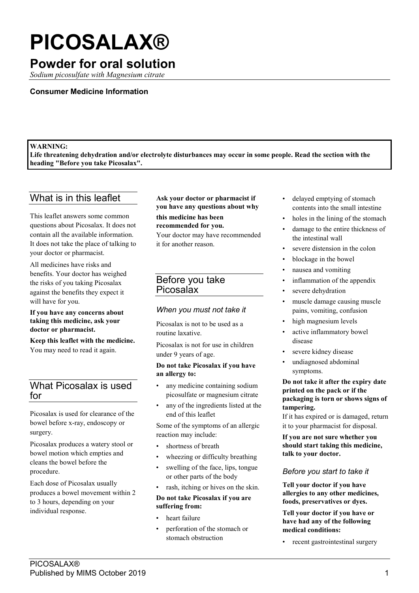# **PICOSALAX®**

# **Powder for oral solution**

*Sodium picosulfate with Magnesium citrate*

#### **Consumer Medicine Information**

#### **WARNING:**

**Life threatening dehydration and/or electrolyte disturbances may occur in some people. Read the section with the heading "Before you take Picosalax".**

## What is in this leaflet

This leaflet answers some common questions about Picosalax. It does not contain all the available information. It does not take the place of talking to your doctor or pharmacist.

All medicines have risks and benefits. Your doctor has weighed the risks of you taking Picosalax against the benefits they expect it will have for you.

**If you have any concerns about taking this medicine, ask your doctor or pharmacist.**

**Keep this leaflet with the medicine.** You may need to read it again.

## What Picosalax is used for

Picosalax is used for clearance of the bowel before x-ray, endoscopy or surgery.

Picosalax produces a watery stool or bowel motion which empties and cleans the bowel before the procedure.

Each dose of Picosalax usually produces a bowel movement within 2 to 3 hours, depending on your individual response.

## **Ask your doctor or pharmacist if you have any questions about why**

**this medicine has been** 

**recommended for you.** Your doctor may have recommended

it for another reason.

## Before you take Picosalax

## *When you must not take it*

Picosalax is not to be used as a routine laxative.

Picosalax is not for use in children under 9 years of age.

#### **Do not take Picosalax if you have an allergy to:**

- any medicine containing sodium picosulfate or magnesium citrate
- any of the ingredients listed at the end of this leaflet

Some of the symptoms of an allergic reaction may include:

- shortness of breath
- wheezing or difficulty breathing
- swelling of the face, lips, tongue or other parts of the body
- rash, itching or hives on the skin.

## **Do not take Picosalax if you are suffering from:**

- heart failure
- perforation of the stomach or stomach obstruction
- delayed emptying of stomach contents into the small intestine
- holes in the lining of the stomach
- damage to the entire thickness of the intestinal wall
- severe distension in the colon
- blockage in the bowel
- nausea and vomiting
- inflammation of the appendix
- severe dehydration
- muscle damage causing muscle pains, vomiting, confusion
- high magnesium levels
- active inflammatory bowel disease
- severe kidney disease
- undiagnosed abdominal symptoms.

**Do not take it after the expiry date printed on the pack or if the packaging is torn or shows signs of tampering.**

If it has expired or is damaged, return it to your pharmacist for disposal.

**If you are not sure whether you should start taking this medicine, talk to your doctor.**

#### *Before you start to take it*

**Tell your doctor if you have allergies to any other medicines, foods, preservatives or dyes.**

**Tell your doctor if you have or have had any of the following medical conditions:**

• recent gastrointestinal surgery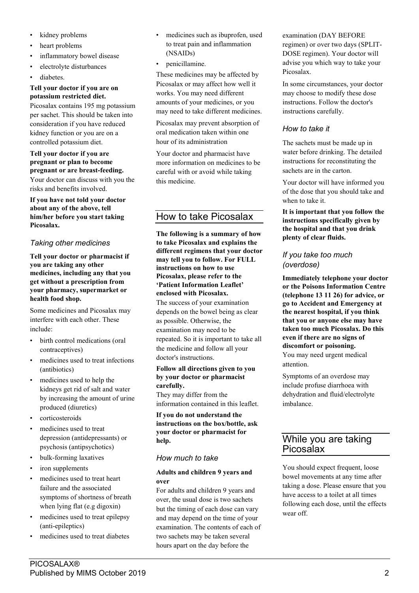- kidney problems
- heart problems
- inflammatory bowel disease
- electrolyte disturbances
- diabetes.

## **Tell your doctor if you are on potassium restricted diet.**

Picosalax contains 195 mg potassium per sachet. This should be taken into consideration if you have reduced kidney function or you are on a controlled potassium diet.

## **Tell your doctor if you are pregnant or plan to become pregnant or are breast-feeding.**

Your doctor can discuss with you the risks and benefits involved.

**If you have not told your doctor about any of the above, tell him/her before you start taking Picosalax.**

## *Taking other medicines*

**Tell your doctor or pharmacist if you are taking any other medicines, including any that you get without a prescription from your pharmacy, supermarket or health food shop.**

Some medicines and Picosalax may interfere with each other. These include:

- birth control medications (oral contraceptives)
- medicines used to treat infections (antibiotics)
- medicines used to help the kidneys get rid of salt and water by increasing the amount of urine produced (diuretics)
- corticosteroids
- medicines used to treat depression (antidepressants) or psychosis (antipsychotics)
- bulk-forming laxatives
- iron supplements
- medicines used to treat heart failure and the associated symptoms of shortness of breath when lying flat (e.g digoxin)
- medicines used to treat epilepsy (anti-epileptics)
- medicines used to treat diabetes
- medicines such as ibuprofen, used to treat pain and inflammation (NSAIDs)
- penicillamine.

These medicines may be affected by Picosalax or may affect how well it works. You may need different amounts of your medicines, or you may need to take different medicines.

Picosalax may prevent absorption of oral medication taken within one hour of its administration

Your doctor and pharmacist have more information on medicines to be careful with or avoid while taking this medicine.

## How to take Picosalax

**The following is a summary of how to take Picosalax and explains the different regimens that your doctor may tell you to follow. For FULL instructions on how to use Picosalax, please refer to the 'Patient Information Leaflet' enclosed with Picosalax.**

The success of your examination depends on the bowel being as clear as possible. Otherwise, the examination may need to be repeated. So it is important to take all the medicine and follow all your doctor's instructions.

#### **Follow all directions given to you by your doctor or pharmacist carefully.**

They may differ from the information contained in this leaflet.

**If you do not understand the instructions on the box/bottle, ask your doctor or pharmacist for help.**

## *How much to take*

#### **Adults and children 9 years and over**

For adults and children 9 years and over, the usual dose is two sachets but the timing of each dose can vary and may depend on the time of your examination. The contents of each of two sachets may be taken several hours apart on the day before the

examination (DAY BEFORE regimen) or over two days (SPLIT-DOSE regimen). Your doctor will advise you which way to take your Picosalax.

In some circumstances, your doctor may choose to modify these dose instructions. Follow the doctor's instructions carefully.

## *How to take it*

The sachets must be made up in water before drinking. The detailed instructions for reconstituting the sachets are in the carton.

Your doctor will have informed you of the dose that you should take and when to take it.

**It is important that you follow the instructions specifically given by the hospital and that you drink plenty of clear fluids.**

## *If you take too much (overdose)*

**Immediately telephone your doctor or the Poisons Information Centre (telephone 13 11 26) for advice, or go to Accident and Emergency at the nearest hospital, if you think that you or anyone else may have taken too much Picosalax. Do this even if there are no signs of discomfort or poisoning.** You may need urgent medical attention.

Symptoms of an overdose may include profuse diarrhoea with dehydration and fluid/electrolyte imbalance.

## While you are taking Picosalax

You should expect frequent, loose bowel movements at any time after taking a dose. Please ensure that you have access to a toilet at all times following each dose, until the effects wear off.